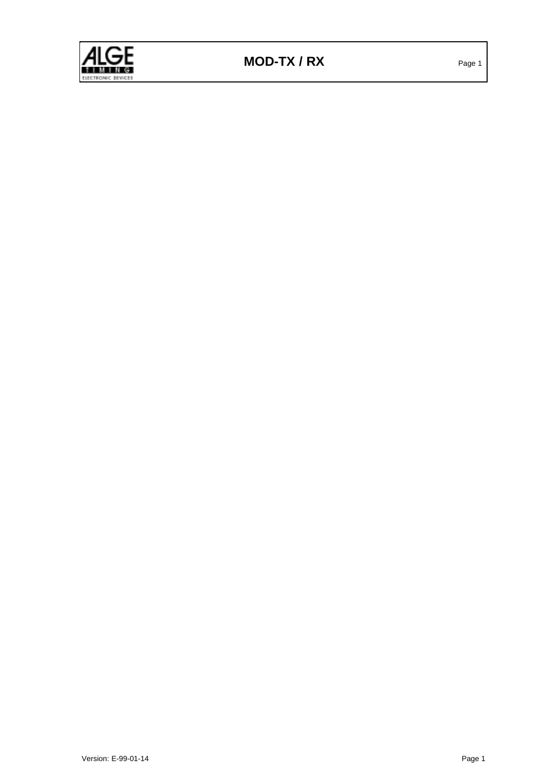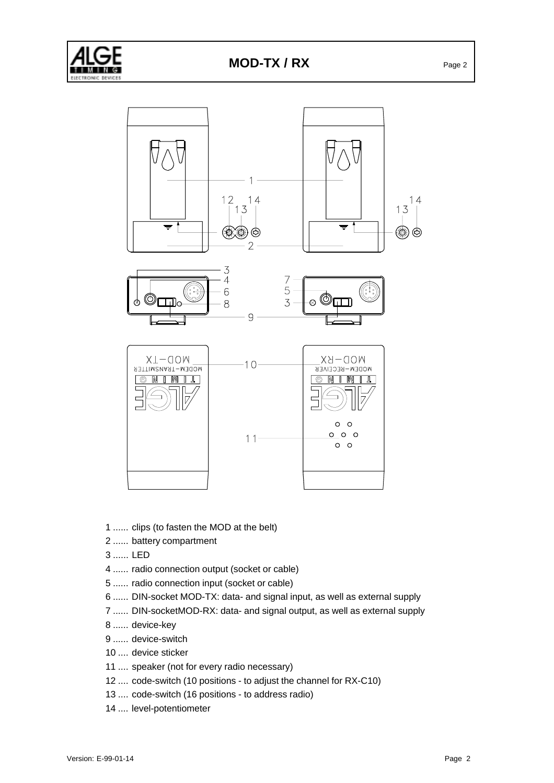

- 1 ...... clips (to fasten the MOD at the belt)
- 2 ...... battery compartment
- 3 ...... LED
- 4 ...... radio connection output (socket or cable)
- 5 ...... radio connection input (socket or cable)
- 6 ...... DIN-socket MOD-TX: data- and signal input, as well as external supply
- 7 ...... DIN-socketMOD-RX: data- and signal output, as well as external supply
- 8 ...... device-key
- 9 ...... device-switch
- 10 .... device sticker
- 11 .... speaker (not for every radio necessary)
- 12 .... code-switch (10 positions to adjust the channel for RX-C10)
- 13 .... code-switch (16 positions to address radio)
- 14 .... level-potentiometer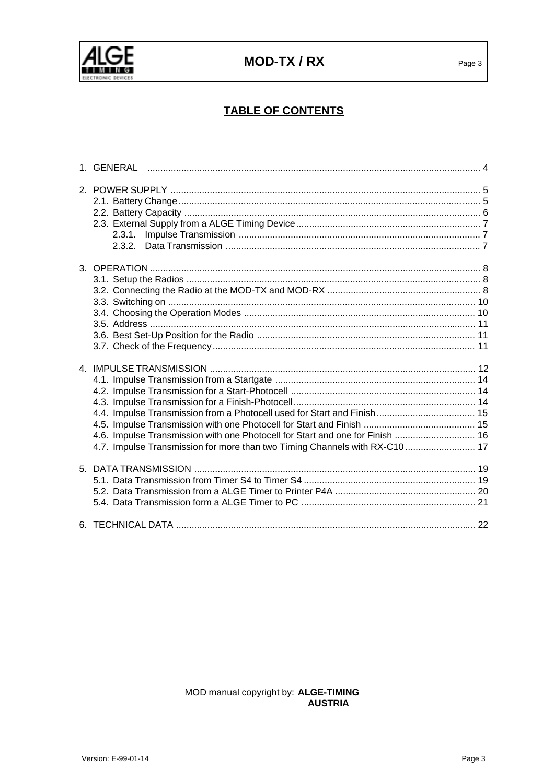

# **MOD-TX/RX**

# **TABLE OF CONTENTS**

| 4.6. Impulse Transmission with one Photocell for Start and one for Finish  16<br>4.7. Impulse Transmission for more than two Timing Channels with RX-C10  17 |  |
|--------------------------------------------------------------------------------------------------------------------------------------------------------------|--|
|                                                                                                                                                              |  |
|                                                                                                                                                              |  |

MOD manual copyright by: ALGE-TIMING **AUSTRIA**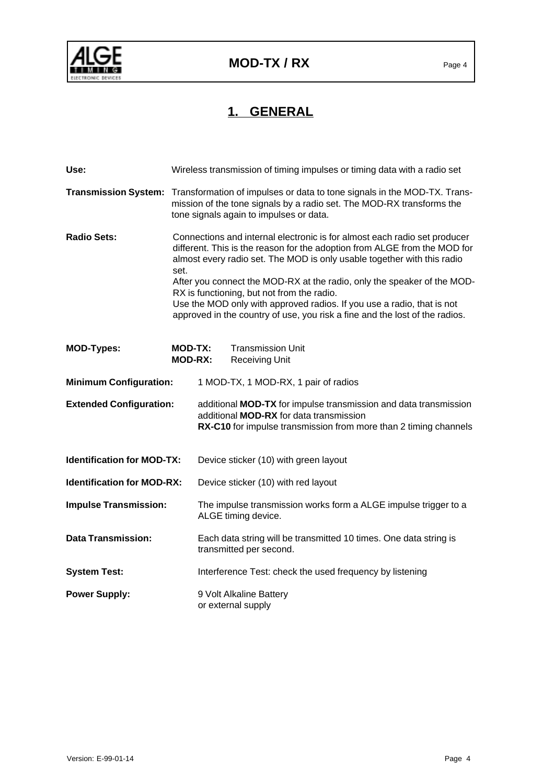

# **1. GENERAL**

| Use:                              | Wireless transmission of timing impulses or timing data with a radio set                                                                                                                                                                                                                                                                                                                                                                                                                                                    |  |  |  |  |
|-----------------------------------|-----------------------------------------------------------------------------------------------------------------------------------------------------------------------------------------------------------------------------------------------------------------------------------------------------------------------------------------------------------------------------------------------------------------------------------------------------------------------------------------------------------------------------|--|--|--|--|
|                                   | Transmission System: Transformation of impulses or data to tone signals in the MOD-TX. Trans-<br>mission of the tone signals by a radio set. The MOD-RX transforms the<br>tone signals again to impulses or data.                                                                                                                                                                                                                                                                                                           |  |  |  |  |
| <b>Radio Sets:</b>                | Connections and internal electronic is for almost each radio set producer<br>different. This is the reason for the adoption from ALGE from the MOD for<br>almost every radio set. The MOD is only usable together with this radio<br>set.<br>After you connect the MOD-RX at the radio, only the speaker of the MOD-<br>RX is functioning, but not from the radio.<br>Use the MOD only with approved radios. If you use a radio, that is not<br>approved in the country of use, you risk a fine and the lost of the radios. |  |  |  |  |
| <b>MOD-Types:</b>                 | <b>MOD-TX:</b><br><b>Transmission Unit</b><br><b>MOD-RX:</b><br><b>Receiving Unit</b>                                                                                                                                                                                                                                                                                                                                                                                                                                       |  |  |  |  |
| <b>Minimum Configuration:</b>     | 1 MOD-TX, 1 MOD-RX, 1 pair of radios                                                                                                                                                                                                                                                                                                                                                                                                                                                                                        |  |  |  |  |
| <b>Extended Configuration:</b>    | additional MOD-TX for impulse transmission and data transmission<br>additional MOD-RX for data transmission<br>RX-C10 for impulse transmission from more than 2 timing channels                                                                                                                                                                                                                                                                                                                                             |  |  |  |  |
| <b>Identification for MOD-TX:</b> | Device sticker (10) with green layout                                                                                                                                                                                                                                                                                                                                                                                                                                                                                       |  |  |  |  |
| <b>Identification for MOD-RX:</b> | Device sticker (10) with red layout                                                                                                                                                                                                                                                                                                                                                                                                                                                                                         |  |  |  |  |
| <b>Impulse Transmission:</b>      | The impulse transmission works form a ALGE impulse trigger to a<br>ALGE timing device.                                                                                                                                                                                                                                                                                                                                                                                                                                      |  |  |  |  |
| <b>Data Transmission:</b>         | Each data string will be transmitted 10 times. One data string is<br>transmitted per second.                                                                                                                                                                                                                                                                                                                                                                                                                                |  |  |  |  |
| <b>System Test:</b>               | Interference Test: check the used frequency by listening                                                                                                                                                                                                                                                                                                                                                                                                                                                                    |  |  |  |  |
| <b>Power Supply:</b>              | 9 Volt Alkaline Battery<br>or external supply                                                                                                                                                                                                                                                                                                                                                                                                                                                                               |  |  |  |  |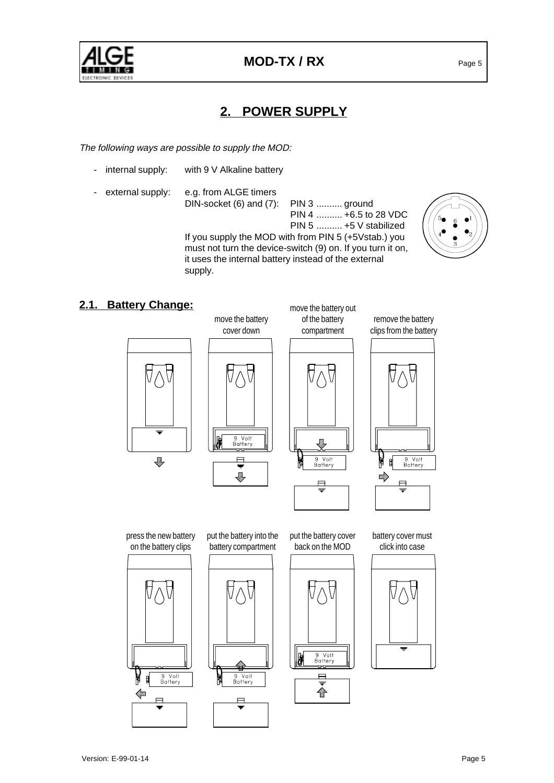

# **2. POWER SUPPLY**

The following ways are possible to supply the MOD:

- internal supply: with 9 V Alkaline battery
- external supply: e.g. from ALGE timers DIN-socket (6) and (7): PIN 3 .......... ground

PIN 4 .......... +6.5 to 28 VDC PIN 5 .......... +5 V stabilized

If you supply the MOD with from PIN 5 (+5Vstab.) you must not turn the device-switch (9) on. If you turn it on, it uses the internal battery instead of the external supply.





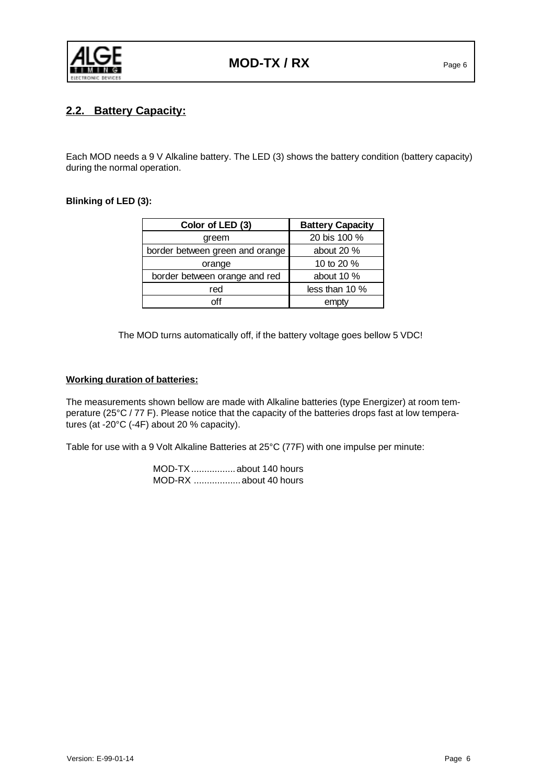

## **2.2. Battery Capacity:**

Each MOD needs a 9 V Alkaline battery. The LED (3) shows the battery condition (battery capacity) during the normal operation.

#### **Blinking of LED (3):**

| Color of LED (3)                | <b>Battery Capacity</b> |
|---------------------------------|-------------------------|
| greem                           | 20 bis 100 %            |
| border between green and orange | about 20 %              |
| orange                          | 10 to 20 %              |
| border between orange and red   | about 10 %              |
| red                             | less than 10 %          |
| ∩ff                             | empt                    |

The MOD turns automatically off, if the battery voltage goes bellow 5 VDC!

#### **Working duration of batteries:**

The measurements shown bellow are made with Alkaline batteries (type Energizer) at room temperature (25°C / 77 F). Please notice that the capacity of the batteries drops fast at low temperatures (at -20°C (-4F) about 20 % capacity).

Table for use with a 9 Volt Alkaline Batteries at 25°C (77F) with one impulse per minute:

MOD-TX .................about 140 hours MOD-RX ..................about 40 hours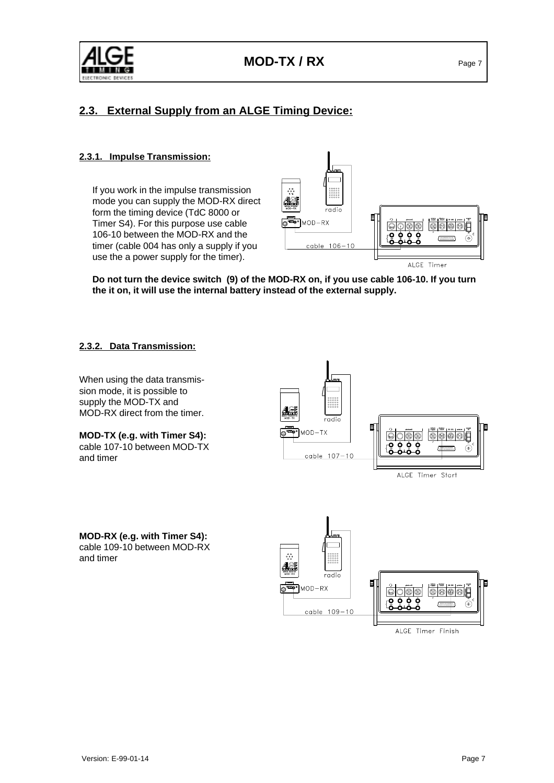

# **2.3. External Supply from an ALGE Timing Device:**

#### **2.3.1. Impulse Transmission:**

If you work in the impulse transmission mode you can supply the MOD-RX direct form the timing device (TdC 8000 or Timer S4). For this purpose use cable 106-10 between the MOD-RX and the timer (cable 004 has only a supply if you use the a power supply for the timer).



**Do not turn the device switch (9) of the MOD-RX on, if you use cable 106-10. If you turn the it on, it will use the internal battery instead of the external supply.**

#### **2.3.2. Data Transmission:**

When using the data transmission mode, it is possible to supply the MOD-TX and MOD-RX direct from the timer.

**MOD-TX (e.g. with Timer S4):** cable 107-10 between MOD-TX and timer



**MOD-RX (e.g. with Timer S4):** cable 109-10 between MOD-RX and timer

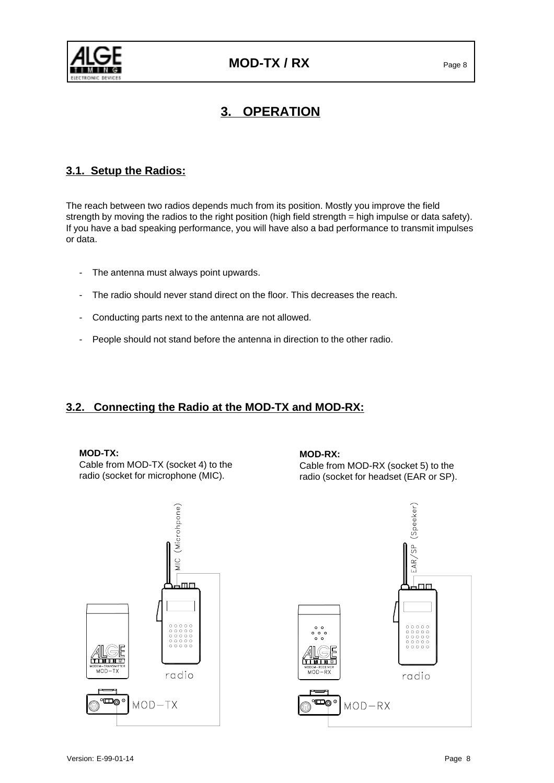

# **3. OPERATION**

## **3.1. Setup the Radios:**

The reach between two radios depends much from its position. Mostly you improve the field strength by moving the radios to the right position (high field strength = high impulse or data safety). If you have a bad speaking performance, you will have also a bad performance to transmit impulses or data.

- The antenna must always point upwards.
- The radio should never stand direct on the floor. This decreases the reach.
- Conducting parts next to the antenna are not allowed.
- People should not stand before the antenna in direction to the other radio.

### **3.2. Connecting the Radio at the MOD-TX and MOD-RX:**

**MOD-TX:** Cable from MOD-TX (socket 4) to the radio (socket for microphone (MIC).

### **MOD-RX:**

Cable from MOD-RX (socket 5) to the radio (socket for headset (EAR or SP).



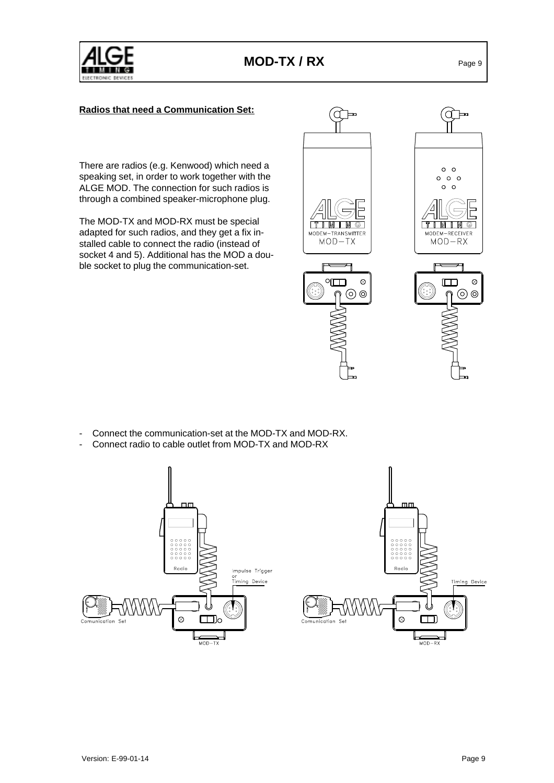

#### **Radios that need a Communication Set:**

There are radios (e.g. Kenwood) which need a speaking set, in order to work together with the ALGE MOD. The connection for such radios is through a combined speaker-microphone plug.

The MOD-TX and MOD-RX must be special adapted for such radios, and they get a fix installed cable to connect the radio (instead of socket 4 and 5). Additional has the MOD a double socket to plug the communication-set.





 $\circ$  $0<sub>o</sub>$  $\Omega$ 

- Connect the communication-set at the MOD-TX and MOD-RX.
- Connect radio to cable outlet from MOD-TX and MOD-RX

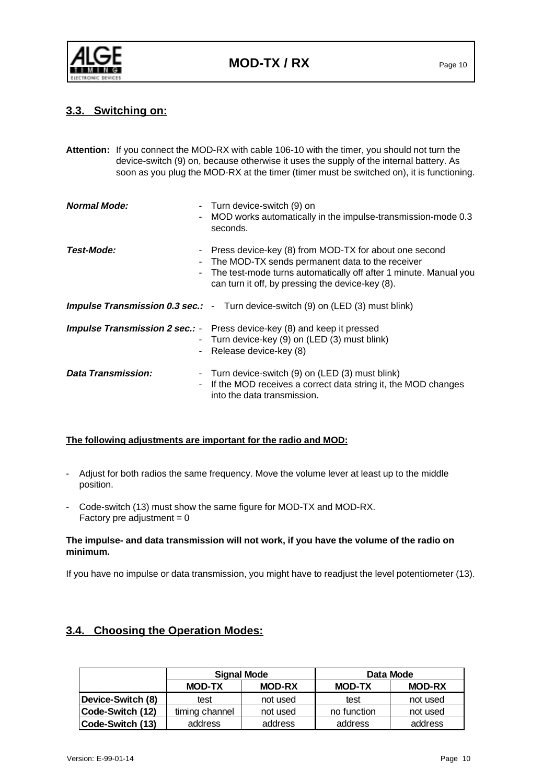

### **3.3. Switching on:**

**Attention:** If you connect the MOD-RX with cable 106-10 with the timer, you should not turn the device-switch (9) on, because otherwise it uses the supply of the internal battery. As soon as you plug the MOD-RX at the timer (timer must be switched on), it is functioning.

| <b>Normal Mode:</b> | - Turn device-switch (9) on<br>MOD works automatically in the impulse-transmission-mode 0.3<br>$\blacksquare$<br>seconds.                                                                                                                            |
|---------------------|------------------------------------------------------------------------------------------------------------------------------------------------------------------------------------------------------------------------------------------------------|
| Test-Mode:          | - Press device-key (8) from MOD-TX for about one second<br>The MOD-TX sends permanent data to the receiver<br>The test-mode turns automatically off after 1 minute. Manual you<br>$\blacksquare$<br>can turn it off, by pressing the device-key (8). |
|                     | <b>Impulse Transmission 0.3 sec.:</b> - Turn device-switch (9) on (LED (3) must blink)                                                                                                                                                               |
|                     | <b>Impulse Transmission 2 sec.:</b> - Press device-key (8) and keep it pressed<br>- Turn device-key (9) on (LED (3) must blink)<br>Release device-key (8)                                                                                            |
| Data Transmission:  | Turn device-switch (9) on (LED (3) must blink)<br>٠<br>If the MOD receives a correct data string it, the MOD changes<br>۰<br>into the data transmission.                                                                                             |

#### **The following adjustments are important for the radio and MOD:**

- Adjust for both radios the same frequency. Move the volume lever at least up to the middle position.
- Code-switch (13) must show the same figure for MOD-TX and MOD-RX. Factory pre adjustment  $= 0$

#### **The impulse- and data transmission will not work, if you have the volume of the radio on minimum.**

If you have no impulse or data transmission, you might have to readjust the level potentiometer (13).

## **3.4. Choosing the Operation Modes:**

|                   | <b>Signal Mode</b> |               | Data Mode     |               |
|-------------------|--------------------|---------------|---------------|---------------|
|                   | <b>MOD-TX</b>      | <b>MOD-RX</b> | <b>MOD-TX</b> | <b>MOD-RX</b> |
| Device-Switch (8) | test               | not used      | test          | not used      |
| Code-Switch (12)  | timing channel     | not used      | no function   | not used      |
| Code-Switch (13)  | address            | address       | address       | address       |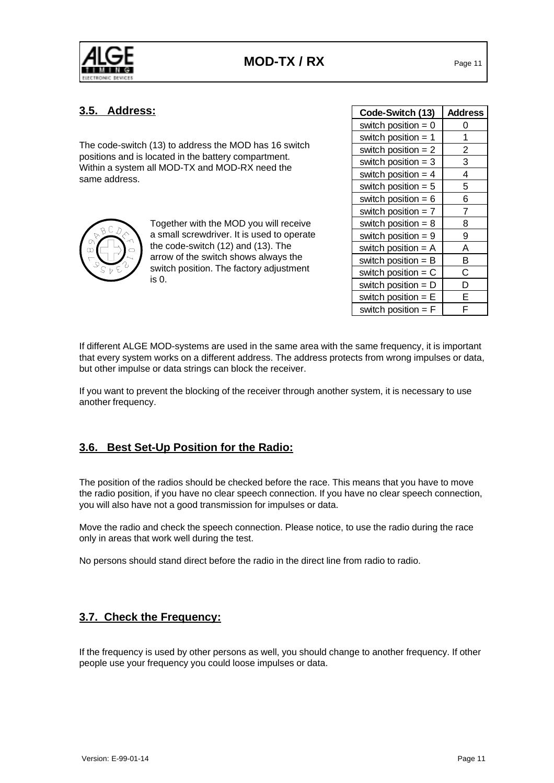

## **3.5. Address:**

The code-switch (13) to address the MOD has 16 switch positions and is located in the battery compartment. Within a system all MOD-TX and MOD-RX need the same address.



Together with the MOD you will receive a small screwdriver. It is used to operate the code-switch (12) and (13). The arrow of the switch shows always the switch position. The factory adjustment is 0.

| Code-Switch (13)        | <b>Address</b> |
|-------------------------|----------------|
| switch position $= 0$   | 0              |
| switch position $= 1$   | 1              |
| switch position $= 2$   | 2              |
| switch position $=$ 3   | 3              |
| switch position $= 4$   | 4              |
| switch position $= 5$   | 5              |
| switch position $= 6$   | 6              |
| switch position $= 7$   | 7              |
| switch position $= 8$   | 8              |
| switch position $= 9$   | 9              |
| switch position $= A$   | Α              |
| switch position $=$ B   | B              |
| switch position $= C$   | C              |
| switch position $= D$   | D              |
| switch position $=$ $E$ | E              |
| switch position $=$ F   |                |

If different ALGE MOD-systems are used in the same area with the same frequency, it is important that every system works on a different address. The address protects from wrong impulses or data, but other impulse or data strings can block the receiver.

If you want to prevent the blocking of the receiver through another system, it is necessary to use another frequency.

### **3.6. Best Set-Up Position for the Radio:**

The position of the radios should be checked before the race. This means that you have to move the radio position, if you have no clear speech connection. If you have no clear speech connection, you will also have not a good transmission for impulses or data.

Move the radio and check the speech connection. Please notice, to use the radio during the race only in areas that work well during the test.

No persons should stand direct before the radio in the direct line from radio to radio.

### **3.7. Check the Frequency:**

If the frequency is used by other persons as well, you should change to another frequency. If other people use your frequency you could loose impulses or data.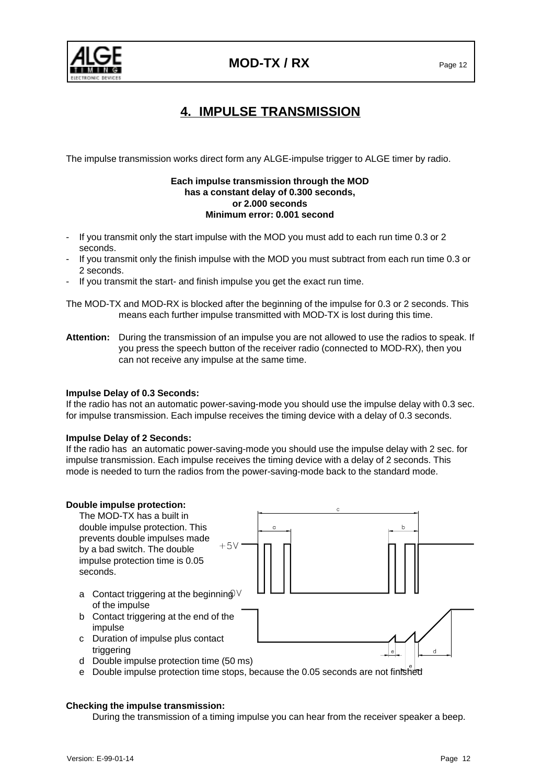

# **4. IMPULSE TRANSMISSION**

The impulse transmission works direct form any ALGE-impulse trigger to ALGE timer by radio.

#### **Each impulse transmission through the MOD has a constant delay of 0.300 seconds, or 2.000 seconds Minimum error: 0.001 second**

- If you transmit only the start impulse with the MOD you must add to each run time 0.3 or 2 seconds.
- If you transmit only the finish impulse with the MOD you must subtract from each run time 0.3 or 2 seconds.
- If you transmit the start- and finish impulse you get the exact run time.

The MOD-TX and MOD-RX is blocked after the beginning of the impulse for 0.3 or 2 seconds. This means each further impulse transmitted with MOD-TX is lost during this time.

**Attention:** During the transmission of an impulse you are not allowed to use the radios to speak. If you press the speech button of the receiver radio (connected to MOD-RX), then you can not receive any impulse at the same time.

#### **Impulse Delay of 0.3 Seconds:**

If the radio has not an automatic power-saving-mode you should use the impulse delay with 0.3 sec. for impulse transmission. Each impulse receives the timing device with a delay of 0.3 seconds.

#### **Impulse Delay of 2 Seconds:**

If the radio has an automatic power-saving-mode you should use the impulse delay with 2 sec. for impulse transmission. Each impulse receives the timing device with a delay of 2 seconds. This mode is needed to turn the radios from the power-saving-mode back to the standard mode.



#### **Checking the impulse transmission:**

During the transmission of a timing impulse you can hear from the receiver speaker a beep.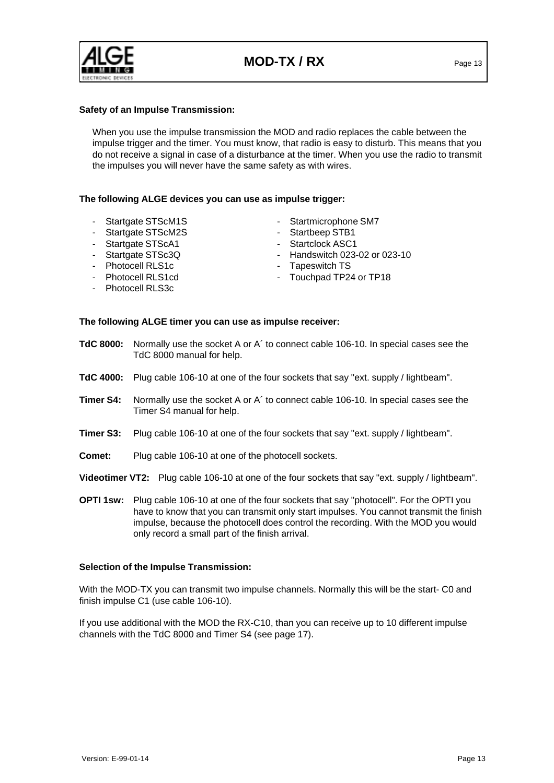

#### **Safety of an Impulse Transmission:**

When you use the impulse transmission the MOD and radio replaces the cable between the impulse trigger and the timer. You must know, that radio is easy to disturb. This means that you do not receive a signal in case of a disturbance at the timer. When you use the radio to transmit the impulses you will never have the same safety as with wires.

#### **The following ALGE devices you can use as impulse trigger:**

- 
- 
- Startgate STScM2S<br>- Startgate STScA1 Startclock ASC1 - Startgate STScA1
- 
- 
- 
- Photocell RLS3c
- Startgate STScM1S Startmicrophone SM7
	-
	-
- Startgate STSc3Q Handswitch 023-02 or 023-10
- Photocell RLS1c Tapeswitch TS
- Photocell RLS1cd Touchpad TP24 or TP18

#### **The following ALGE timer you can use as impulse receiver:**

- **TdC 8000:** Normally use the socket A or A´ to connect cable 106-10. In special cases see the TdC 8000 manual for help.
- **TdC 4000:** Plug cable 106-10 at one of the four sockets that say "ext. supply / lightbeam".
- **Timer S4:** Normally use the socket A or A´ to connect cable 106-10. In special cases see the Timer S4 manual for help.
- **Timer S3:** Plug cable 106-10 at one of the four sockets that say "ext. supply / lightbeam".
- **Comet:** Plug cable 106-10 at one of the photocell sockets.
- **Videotimer VT2:** Plug cable 106-10 at one of the four sockets that say "ext. supply / lightbeam".
- **OPTI 1sw:** Plug cable 106-10 at one of the four sockets that say "photocell". For the OPTI you have to know that you can transmit only start impulses. You cannot transmit the finish impulse, because the photocell does control the recording. With the MOD you would only record a small part of the finish arrival.

#### **Selection of the Impulse Transmission:**

With the MOD-TX you can transmit two impulse channels. Normally this will be the start- C0 and finish impulse C1 (use cable 106-10).

If you use additional with the MOD the RX-C10, than you can receive up to 10 different impulse channels with the TdC 8000 and Timer S4 (see page 17).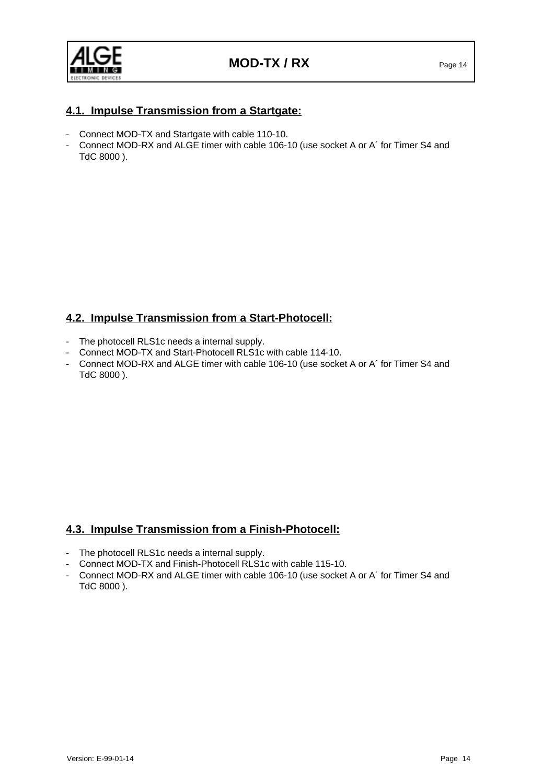

### **4.1. Impulse Transmission from a Startgate:**

- Connect MOD-TX and Startgate with cable 110-10.
- Connect MOD-RX and ALGE timer with cable 106-10 (use socket A or A' for Timer S4 and TdC 8000 ).

## **4.2. Impulse Transmission from a Start-Photocell:**

- The photocell RLS1c needs a internal supply.
- Connect MOD-TX and Start-Photocell RLS1c with cable 114-10.
- Connect MOD-RX and ALGE timer with cable 106-10 (use socket A or A´ for Timer S4 and TdC 8000 ).

### **4.3. Impulse Transmission from a Finish-Photocell:**

- The photocell RLS1c needs a internal supply.
- Connect MOD-TX and Finish-Photocell RLS1c with cable 115-10.
- Connect MOD-RX and ALGE timer with cable 106-10 (use socket A or A´ for Timer S4 and TdC 8000 ).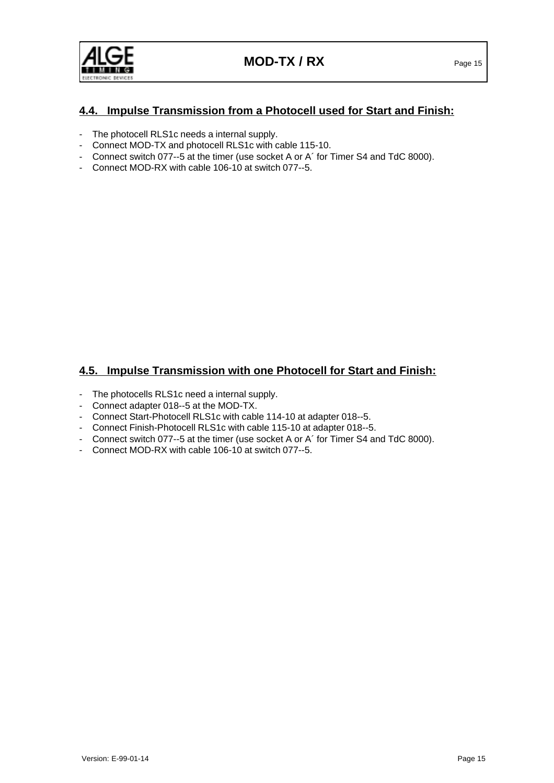

### **4.4. Impulse Transmission from a Photocell used for Start and Finish:**

- The photocell RLS1c needs a internal supply.
- Connect MOD-TX and photocell RLS1c with cable 115-10.
- Connect switch 077--5 at the timer (use socket A or A´ for Timer S4 and TdC 8000).
- Connect MOD-RX with cable 106-10 at switch 077--5.

### **4.5. Impulse Transmission with one Photocell for Start and Finish:**

- The photocells RLS1c need a internal supply.
- Connect adapter 018--5 at the MOD-TX.
- Connect Start-Photocell RLS1c with cable 114-10 at adapter 018--5.
- Connect Finish-Photocell RLS1c with cable 115-10 at adapter 018--5.
- Connect switch 077--5 at the timer (use socket A or A´ for Timer S4 and TdC 8000).
- Connect MOD-RX with cable 106-10 at switch 077--5.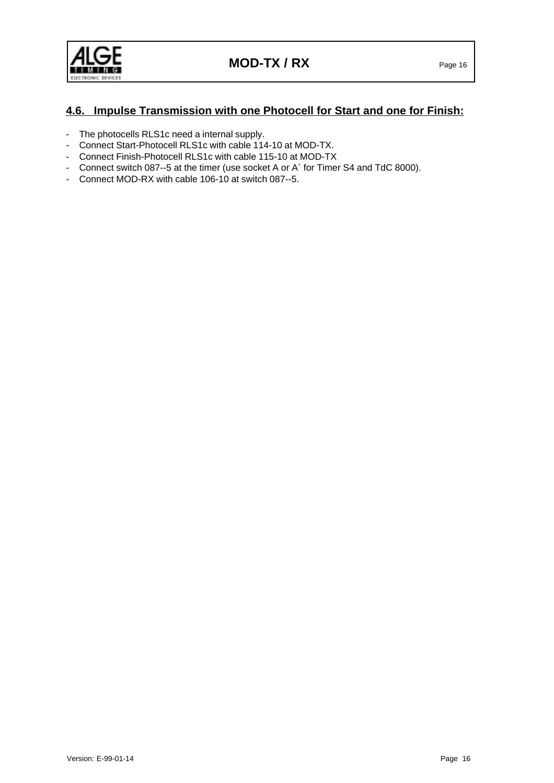

## **4.6. Impulse Transmission with one Photocell for Start and one for Finish:**

- The photocells RLS1c need a internal supply.
- Connect Start-Photocell RLS1c with cable 114-10 at MOD-TX.
- Connect Finish-Photocell RLS1c with cable 115-10 at MOD-TX
- Connect switch 087--5 at the timer (use socket A or A´ for Timer S4 and TdC 8000).
- Connect MOD-RX with cable 106-10 at switch 087--5.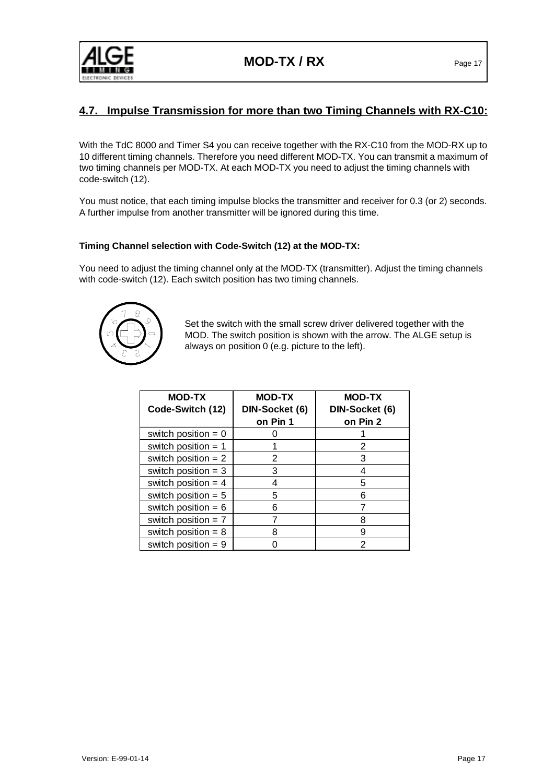

### **4.7. Impulse Transmission for more than two Timing Channels with RX-C10:**

With the TdC 8000 and Timer S4 you can receive together with the RX-C10 from the MOD-RX up to 10 different timing channels. Therefore you need different MOD-TX. You can transmit a maximum of two timing channels per MOD-TX. At each MOD-TX you need to adjust the timing channels with code-switch (12).

You must notice, that each timing impulse blocks the transmitter and receiver for 0.3 (or 2) seconds. A further impulse from another transmitter will be ignored during this time.

#### **Timing Channel selection with Code-Switch (12) at the MOD-TX:**

You need to adjust the timing channel only at the MOD-TX (transmitter). Adjust the timing channels with code-switch (12). Each switch position has two timing channels.



Set the switch with the small screw driver delivered together with the MOD. The switch position is shown with the arrow. The ALGE setup is always on position 0 (e.g. picture to the left).

| <b>MOD-TX</b>         | <b>MOD-TX</b>  | <b>MOD-TX</b>  |
|-----------------------|----------------|----------------|
| Code-Switch (12)      | DIN-Socket (6) | DIN-Socket (6) |
|                       | on Pin 1       | on Pin 2       |
| switch position $= 0$ |                |                |
| switch position $= 1$ |                | 2              |
| switch position $= 2$ | 2              | З              |
| switch position $=$ 3 | 3              |                |
| switch position $= 4$ |                | 5              |
| switch position $= 5$ | 5              | 6              |
| switch position = $6$ | 6              |                |
| switch position $= 7$ |                | 8              |
| switch position = $8$ | 8              | 9              |
| switch position $= 9$ |                | 2              |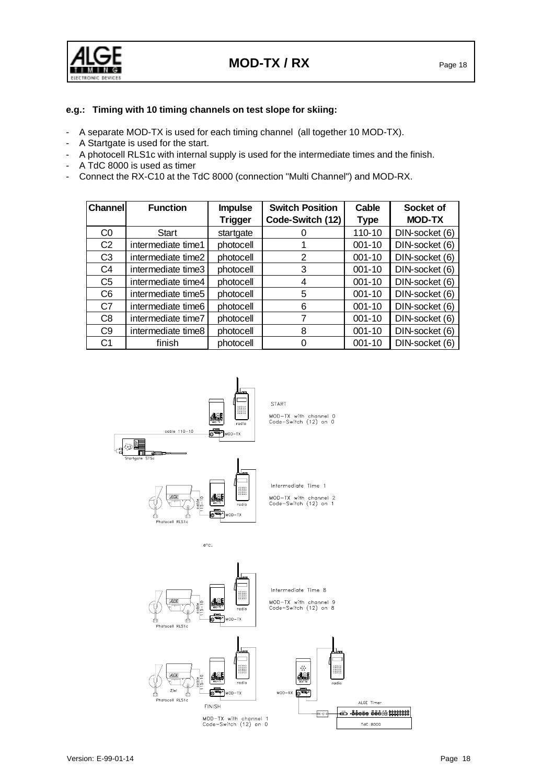

#### **e.g.: Timing with 10 timing channels on test slope for skiing:**

- A separate MOD-TX is used for each timing channel (all together 10 MOD-TX).
- A Startgate is used for the start.
- A photocell RLS1c with internal supply is used for the intermediate times and the finish.
- A TdC 8000 is used as timer
- Connect the RX-C10 at the TdC 8000 (connection "Multi Channel") and MOD-RX.

| <b>Channel</b> | <b>Function</b>    | <b>Impulse</b> | <b>Switch Position</b> | Cable       | Socket of      |
|----------------|--------------------|----------------|------------------------|-------------|----------------|
|                |                    | <b>Trigger</b> | Code-Switch (12)       | <b>Type</b> | <b>MOD-TX</b>  |
| C <sub>0</sub> | <b>Start</b>       | startgate      |                        | 110-10      | DIN-socket (6) |
| C <sub>2</sub> | intermediate time1 | photocell      |                        | $001 - 10$  | DIN-socket (6) |
| C <sub>3</sub> | intermediate time2 | photocell      | 2                      | $001 - 10$  | DIN-socket (6) |
| C4             | intermediate time3 | photocell      | 3                      | $001 - 10$  | DIN-socket (6) |
| C <sub>5</sub> | intermediate time4 | photocell      | 4                      | $001 - 10$  | DIN-socket (6) |
| C <sub>6</sub> | intermediate time5 | photocell      | 5                      | $001 - 10$  | DIN-socket (6) |
| C7             | intermediate time6 | photocell      | 6                      | $001 - 10$  | DIN-socket (6) |
| C <sub>8</sub> | intermediate time7 | photocell      |                        | $001 - 10$  | DIN-socket (6) |
| C <sub>9</sub> | intermediate time8 | photocell      | 8                      | $001 - 10$  | DIN-socket (6) |
| C1             | finish             | photocell      |                        | $001 - 10$  | DIN-socket (6) |

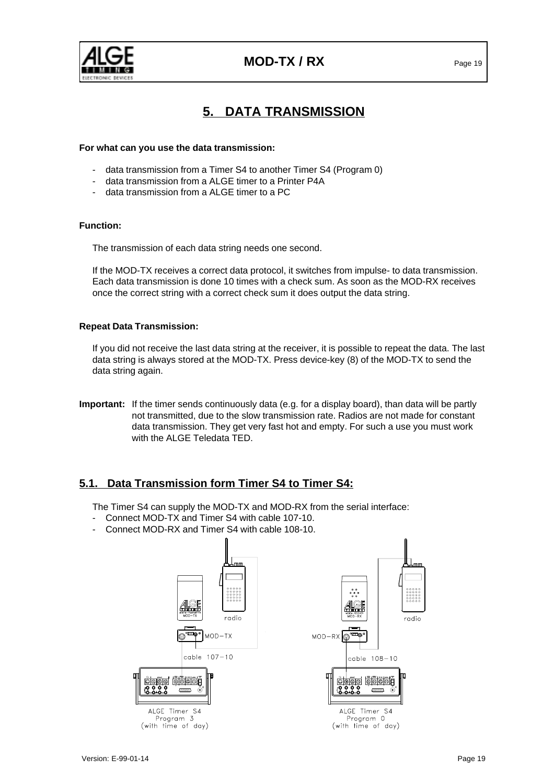

# **5. DATA TRANSMISSION**

#### **For what can you use the data transmission:**

- data transmission from a Timer S4 to another Timer S4 (Program 0)
- data transmission from a ALGE timer to a Printer P4A
- data transmission from a ALGE timer to a PC

#### **Function:**

The transmission of each data string needs one second.

If the MOD-TX receives a correct data protocol, it switches from impulse- to data transmission. Each data transmission is done 10 times with a check sum. As soon as the MOD-RX receives once the correct string with a correct check sum it does output the data string.

#### **Repeat Data Transmission:**

If you did not receive the last data string at the receiver, it is possible to repeat the data. The last data string is always stored at the MOD-TX. Press device-key (8) of the MOD-TX to send the data string again.

**Important:** If the timer sends continuously data (e.g. for a display board), than data will be partly not transmitted, due to the slow transmission rate. Radios are not made for constant data transmission. They get very fast hot and empty. For such a use you must work with the ALGE Teledata TED.

## **5.1. Data Transmission form Timer S4 to Timer S4:**

The Timer S4 can supply the MOD-TX and MOD-RX from the serial interface:

- Connect MOD-TX and Timer S4 with cable 107-10.
- Connect MOD-RX and Timer S4 with cable 108-10.

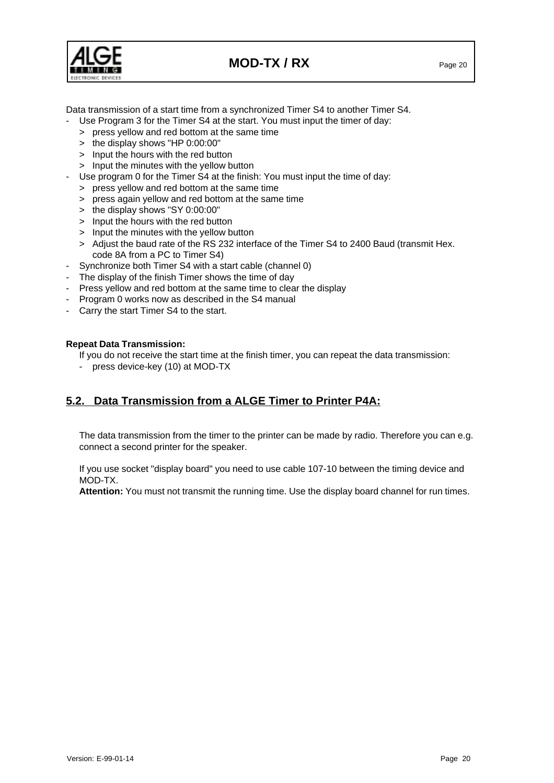

Data transmission of a start time from a synchronized Timer S4 to another Timer S4.

- Use Program 3 for the Timer S4 at the start. You must input the timer of day:
	- > press yellow and red bottom at the same time
	- > the display shows "HP 0:00:00"
	- > Input the hours with the red button
	- > Input the minutes with the yellow button
- Use program 0 for the Timer S4 at the finish: You must input the time of day:
- > press yellow and red bottom at the same time
- > press again yellow and red bottom at the same time
- > the display shows "SY 0:00:00"
- > Input the hours with the red button
- > Input the minutes with the yellow button
- > Adjust the baud rate of the RS 232 interface of the Timer S4 to 2400 Baud (transmit Hex. code 8A from a PC to Timer S4)
- Synchronize both Timer S4 with a start cable (channel 0)
- The display of the finish Timer shows the time of day
- Press yellow and red bottom at the same time to clear the display
- Program 0 works now as described in the S4 manual
- Carry the start Timer S4 to the start.

#### **Repeat Data Transmission:**

- If you do not receive the start time at the finish timer, you can repeat the data transmission:
- press device-key (10) at MOD-TX

## **5.2. Data Transmission from a ALGE Timer to Printer P4A:**

The data transmission from the timer to the printer can be made by radio. Therefore you can e.g. connect a second printer for the speaker.

If you use socket "display board" you need to use cable 107-10 between the timing device and MOD-TX.

**Attention:** You must not transmit the running time. Use the display board channel for run times.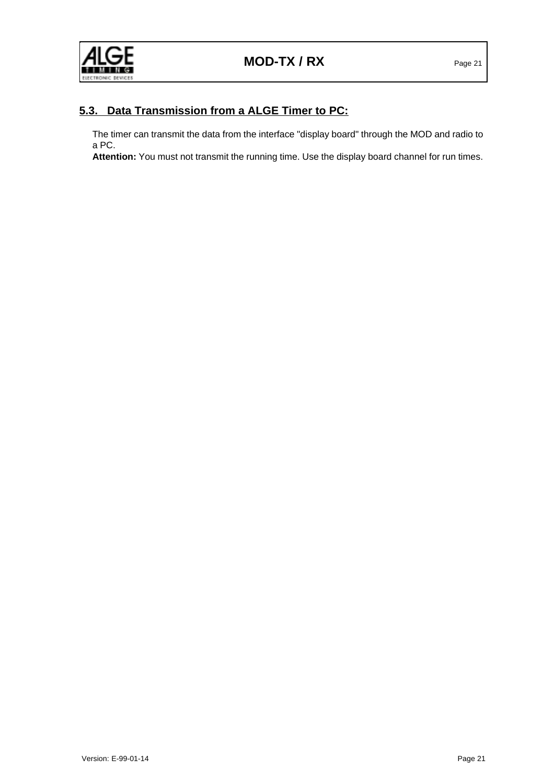

# **5.3. Data Transmission from a ALGE Timer to PC:**

The timer can transmit the data from the interface "display board" through the MOD and radio to a PC.

**Attention:** You must not transmit the running time. Use the display board channel for run times.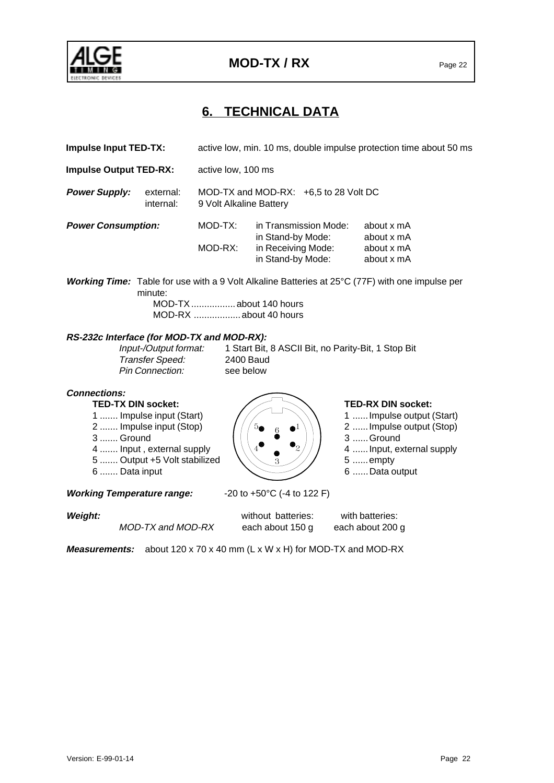

# **6. TECHNICAL DATA**

**Impulse Input TED-TX:** active low, min. 10 ms, double impulse protection time about 50 ms

**Impulse Output TED-RX:** active low, 100 ms

**Power Supply:** external: MOD-TX and MOD-RX: +6,5 to 28 Volt DC internal: 9 Volt Alkaline Battery

| <b>Power Consumption:</b> | MOD-TX: | in Transmission Mode: | about x mA |
|---------------------------|---------|-----------------------|------------|
|                           |         | in Stand-by Mode:     | about x mA |
|                           | MOD-RX: | in Receiving Mode:    | about x mA |
|                           |         | in Stand-by Mode:     | about x mA |

**Working Time:** Table for use with a 9 Volt Alkaline Batteries at 25°C (77F) with one impulse per minute: MOD-TX .................about 140 hours

MOD-RX ..................about 40 hours

#### **RS-232c Interface (for MOD-TX and MOD-RX):**

Transfer Speed: 2400 Baud Pin Connection: see below

Input-/Output format: 1 Start Bit, 8 ASCII Bit, no Parity-Bit, 1 Stop Bit

#### **Connections:**

- **TED-TX DIN socket: TED-RX DIN socket:**
- 1 ....... Impulse input (Start)  $\sqrt{}/\sqrt{}$  1 ...... Impulse output (Start)
- 2 ....... Impulse input (Stop)  $\int \left/ \int_{0}^{5} e^{-t} e^{-t} \right]$  2 ...... Impulse output (Stop)
- 3 ....... Ground 3 ......Ground
- 4 ....... Input , external supply 4 ......Input, external supply
- 5 ....... Output +5 Volt stabilized  $\sqrt{2}$   $\sqrt{2}$  5 ...... empty
- 6 ....... Data input 6 ....... Data output

**Working Temperature range:** -20 to +50°C (-4 to 122 F)

 $MOD-TX$  and  $MOD-RX$  each about 150 g each about 200 g

**Weight:** without batteries: with batteries:

**Measurements:** about 120 x 70 x 40 mm (L x W x H) for MOD-TX and MOD-RX